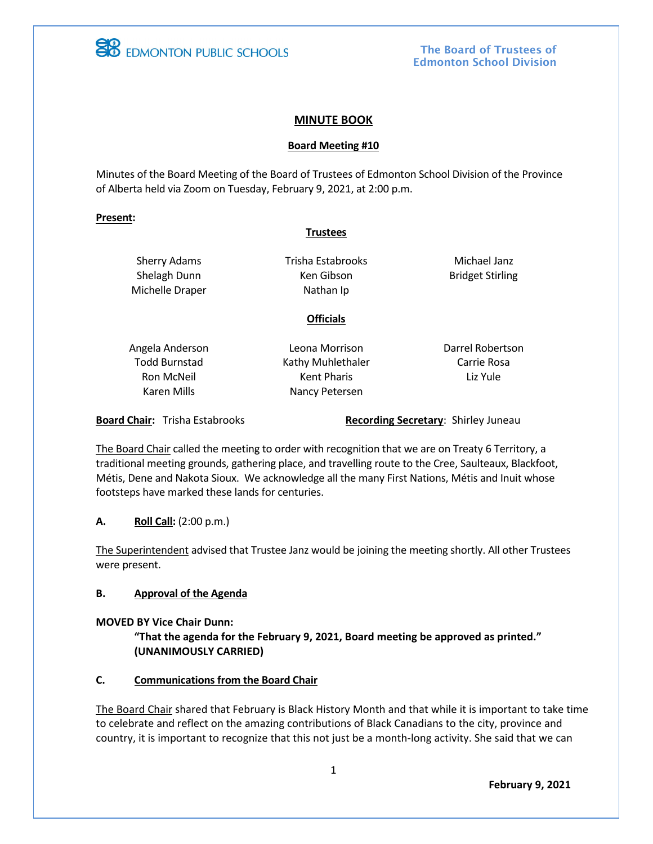

**EB** EDMONTON PUBLIC SCHOOLS

The Board of Trustees of Edmonton School Division

### **MINUTE BOOK**

#### **Board Meeting #10**

Minutes of the Board Meeting of the Board of Trustees of Edmonton School Division of the Province of Alberta held via Zoom on Tuesday, February 9, 2021, at 2:00 p.m.

#### **Present:**

#### **Trustees**

Sherry Adams Shelagh Dunn Michelle Draper Trisha Estabrooks Ken Gibson Nathan Ip

**Officials**

Michael Janz Bridget Stirling

Angela Anderson Todd Burnstad Ron McNeil Karen Mills

Leona Morrison Kathy Muhlethaler Kent Pharis Nancy Petersen

Darrel Robertson Carrie Rosa Liz Yule

**Board Chair:** Trisha Estabrooks **Recording Secretary: Shirley Juneau** 

The Board Chair called the meeting to order with recognition that we are on Treaty 6 Territory, a traditional meeting grounds, gathering place, and travelling route to the Cree, Saulteaux, Blackfoot, Métis, Dene and Nakota Sioux. We acknowledge all the many First Nations, Métis and Inuit whose footsteps have marked these lands for centuries.

**A. Roll Call:** (2:00 p.m.)

The Superintendent advised that Trustee Janz would be joining the meeting shortly. All other Trustees were present.

### **B. Approval of the Agenda**

**MOVED BY Vice Chair Dunn:**

**"That the agenda for the February 9, 2021, Board meeting be approved as printed." (UNANIMOUSLY CARRIED)**

## **C. Communications from the Board Chair**

The Board Chair shared that February is Black History Month and that while it is important to take time to celebrate and reflect on the amazing contributions of Black Canadians to the city, province and country, it is important to recognize that this not just be a month-long activity. She said that we can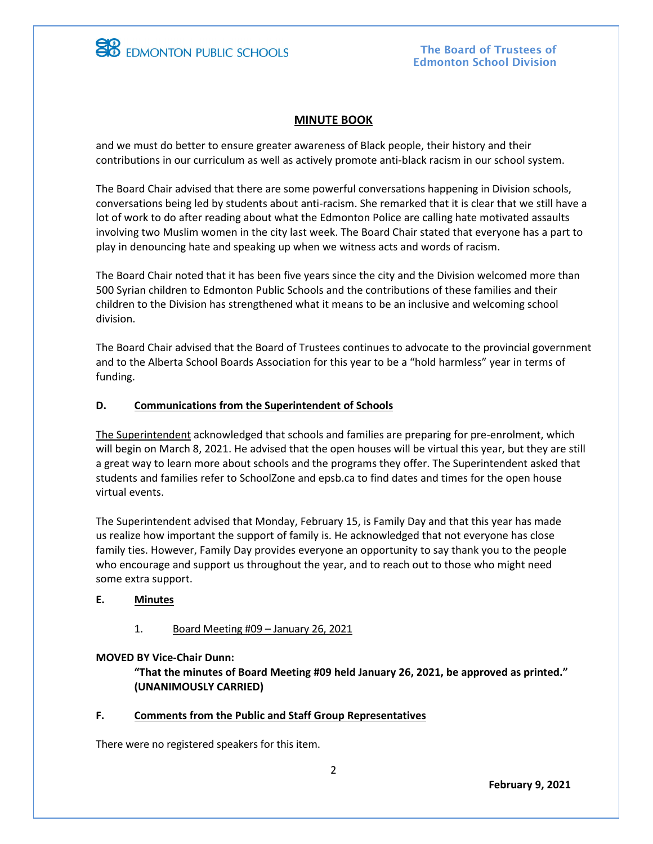

## **MINUTE BOOK**

and we must do better to ensure greater awareness of Black people, their history and their contributions in our curriculum as well as actively promote anti-black racism in our school system.

The Board Chair advised that there are some powerful conversations happening in Division schools, conversations being led by students about anti-racism. She remarked that it is clear that we still have a lot of work to do after reading about what the Edmonton Police are calling hate motivated assaults involving two Muslim women in the city last week. The Board Chair stated that everyone has a part to play in denouncing hate and speaking up when we witness acts and words of racism.

The Board Chair noted that it has been five years since the city and the Division welcomed more than 500 Syrian children to Edmonton Public Schools and the contributions of these families and their children to the Division has strengthened what it means to be an inclusive and welcoming school division.

The Board Chair advised that the Board of Trustees continues to advocate to the provincial government and to the Alberta School Boards Association for this year to be a "hold harmless" year in terms of funding.

## **D. Communications from the Superintendent of Schools**

The Superintendent acknowledged that schools and families are preparing for pre-enrolment, which will begin on March 8, 2021. He advised that the open houses will be virtual this year, but they are still a great way to learn more about schools and the programs they offer. The Superintendent asked that students and families refer to SchoolZone and epsb.ca to find dates and times for the open house virtual events.

The Superintendent advised that Monday, February 15, is Family Day and that this year has made us realize how important the support of family is. He acknowledged that not everyone has close family ties. However, Family Day provides everyone an opportunity to say thank you to the people who encourage and support us throughout the year, and to reach out to those who might need some extra support.

### **E. Minutes**

1. Board Meeting #09 – January 26, 2021

### **MOVED BY Vice-Chair Dunn:**

**"That the minutes of Board Meeting #09 held January 26, 2021, be approved as printed." (UNANIMOUSLY CARRIED)**

### **F. Comments from the Public and Staff Group Representatives**

There were no registered speakers for this item.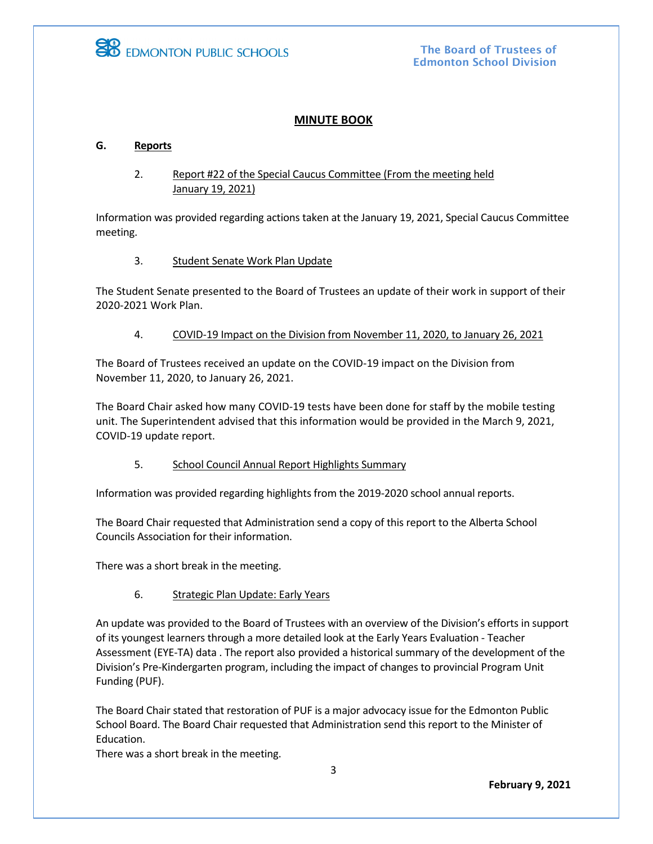

The Board of Trustees of Edmonton School Division

## **MINUTE BOOK**

### **G. Reports**

## 2. Report #22 of the Special Caucus Committee (From the meeting held January 19, 2021)

Information was provided regarding actions taken at the January 19, 2021, Special Caucus Committee meeting.

#### 3. Student Senate Work Plan Update

The Student Senate presented to the Board of Trustees an update of their work in support of their 2020-2021 Work Plan.

#### 4. COVID-19 Impact on the Division from November 11, 2020, to January 26, 2021

The Board of Trustees received an update on the COVID-19 impact on the Division from November 11, 2020, to January 26, 2021.

The Board Chair asked how many COVID-19 tests have been done for staff by the mobile testing unit. The Superintendent advised that this information would be provided in the March 9, 2021, COVID-19 update report.

5. School Council Annual Report Highlights Summary

Information was provided regarding highlights from the 2019-2020 school annual reports.

The Board Chair requested that Administration send a copy of this report to the Alberta School Councils Association for their information.

There was a short break in the meeting.

### 6. Strategic Plan Update: Early Years

An update was provided to the Board of Trustees with an overview of the Division's efforts in support of its youngest learners through a more detailed look at the Early Years Evaluation - Teacher Assessment (EYE-TA) data . The report also provided a historical summary of the development of the Division's Pre-Kindergarten program, including the impact of changes to provincial Program Unit Funding (PUF).

The Board Chair stated that restoration of PUF is a major advocacy issue for the Edmonton Public School Board. The Board Chair requested that Administration send this report to the Minister of Education.

There was a short break in the meeting.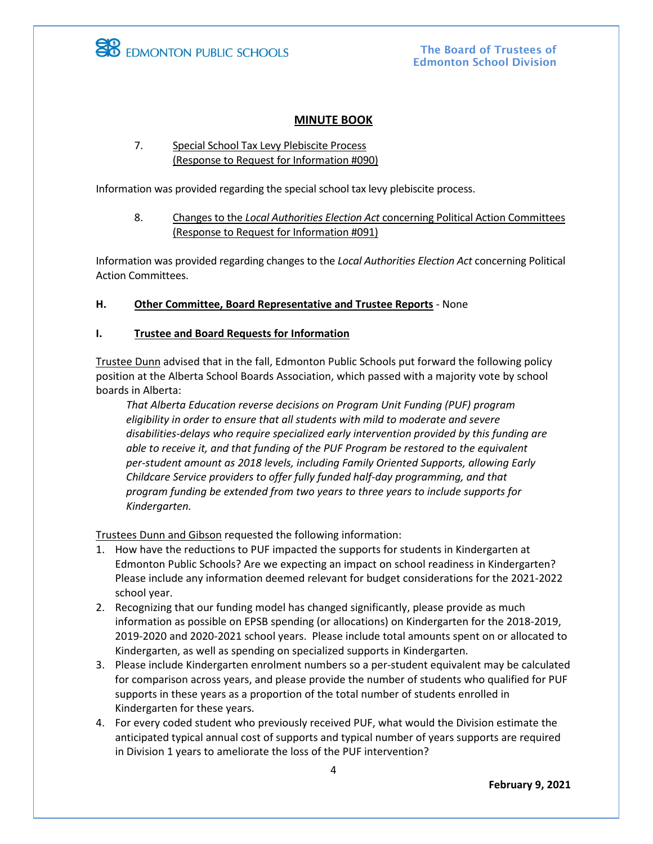

**EB** EDMONTON PUBLIC SCHOOLS

The Board of Trustees of Edmonton School Division

## **MINUTE BOOK**

## 7. Special School Tax Levy Plebiscite Process (Response to Request for Information #090)

Information was provided regarding the special school tax levy plebiscite process.

### 8. Changes to the *Local Authorities Election Act* concerning Political Action Committees (Response to Request for Information #091)

Information was provided regarding changes to the *Local Authorities Election Act* concerning Political Action Committees.

**H. Other Committee, Board Representative and Trustee Reports** - None

## **I. Trustee and Board Requests for Information**

Trustee Dunn advised that in the fall, Edmonton Public Schools put forward the following policy position at the Alberta School Boards Association, which passed with a majority vote by school boards in Alberta:

*That Alberta Education reverse decisions on Program Unit Funding (PUF) program eligibility in order to ensure that all students with mild to moderate and severe disabilities-delays who require specialized early intervention provided by this funding are able to receive it, and that funding of the PUF Program be restored to the equivalent per-student amount as 2018 levels, including Family Oriented Supports, allowing Early Childcare Service providers to offer fully funded half-day programming, and that program funding be extended from two years to three years to include supports for Kindergarten.*

Trustees Dunn and Gibson requested the following information:

- 1. How have the reductions to PUF impacted the supports for students in Kindergarten at Edmonton Public Schools? Are we expecting an impact on school readiness in Kindergarten? Please include any information deemed relevant for budget considerations for the 2021-2022 school year.
- 2. Recognizing that our funding model has changed significantly, please provide as much information as possible on EPSB spending (or allocations) on Kindergarten for the 2018-2019, 2019-2020 and 2020-2021 school years. Please include total amounts spent on or allocated to Kindergarten, as well as spending on specialized supports in Kindergarten.
- 3. Please include Kindergarten enrolment numbers so a per-student equivalent may be calculated for comparison across years, and please provide the number of students who qualified for PUF supports in these years as a proportion of the total number of students enrolled in Kindergarten for these years.
- 4. For every coded student who previously received PUF, what would the Division estimate the anticipated typical annual cost of supports and typical number of years supports are required in Division 1 years to ameliorate the loss of the PUF intervention?